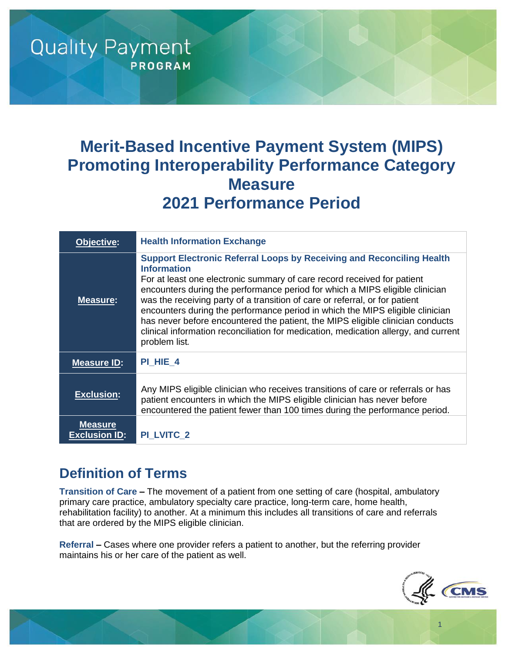# **Merit-Based Incentive Payment System (MIPS) Promoting Interoperability Performance Category Measure 2021 Performance Period**

| Objective:                             | <b>Health Information Exchange</b>                                                                                                                                                                                                                                                                                                                                                                                                                                                                                                                                                                                      |
|----------------------------------------|-------------------------------------------------------------------------------------------------------------------------------------------------------------------------------------------------------------------------------------------------------------------------------------------------------------------------------------------------------------------------------------------------------------------------------------------------------------------------------------------------------------------------------------------------------------------------------------------------------------------------|
| Measure:                               | <b>Support Electronic Referral Loops by Receiving and Reconciling Health</b><br><b>Information</b><br>For at least one electronic summary of care record received for patient<br>encounters during the performance period for which a MIPS eligible clinician<br>was the receiving party of a transition of care or referral, or for patient<br>encounters during the performance period in which the MIPS eligible clinician<br>has never before encountered the patient, the MIPS eligible clinician conducts<br>clinical information reconciliation for medication, medication allergy, and current<br>problem list. |
| <b>Measure ID:</b>                     | PI HIE 4                                                                                                                                                                                                                                                                                                                                                                                                                                                                                                                                                                                                                |
| <b>Exclusion:</b>                      | Any MIPS eligible clinician who receives transitions of care or referrals or has<br>patient encounters in which the MIPS eligible clinician has never before<br>encountered the patient fewer than 100 times during the performance period.                                                                                                                                                                                                                                                                                                                                                                             |
| <b>Measure</b><br><b>Exclusion ID:</b> | <b>PI LVITC 2</b>                                                                                                                                                                                                                                                                                                                                                                                                                                                                                                                                                                                                       |

### **Definition of Terms**

**Quality Payment** 

**PROGRAM** 

**Transition of Care –** The movement of a patient from one setting of care (hospital, ambulatory primary care practice, ambulatory specialty care practice, long-term care, home health, rehabilitation facility) to another. At a minimum this includes all transitions of care and referrals that are ordered by the MIPS eligible clinician.

**Referral –** Cases where one provider refers a patient to another, but the referring provider maintains his or her care of the patient as well.



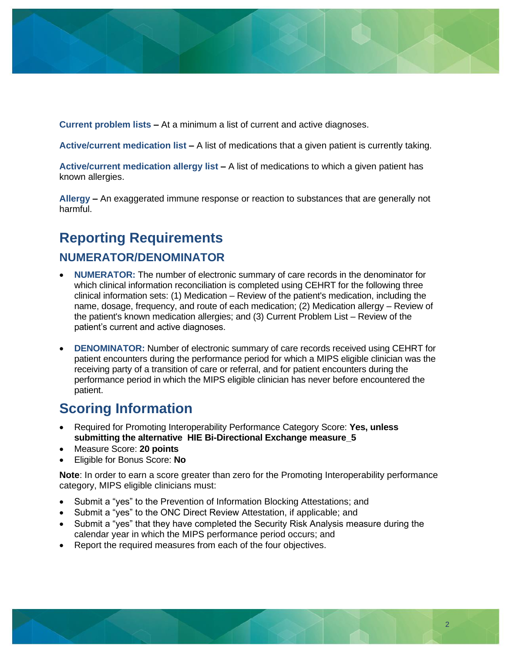

**Current problem lists –** At a minimum a list of current and active diagnoses.

**Active/current medication list –** A list of medications that a given patient is currently taking.

**Active/current medication allergy list –** A list of medications to which a given patient has known allergies.

**Allergy –** An exaggerated immune response or reaction to substances that are generally not harmful.

# **Reporting Requirements**

### **NUMERATOR/DENOMINATOR**

- **NUMERATOR:** The number of electronic summary of care records in the denominator for which clinical information reconciliation is completed using CEHRT for the following three clinical information sets: (1) Medication – Review of the patient's medication, including the name, dosage, frequency, and route of each medication; (2) Medication allergy – Review of the patient's known medication allergies; and (3) Current Problem List – Review of the patient's current and active diagnoses.
- **DENOMINATOR:** Number of electronic summary of care records received using CEHRT for patient encounters during the performance period for which a MIPS eligible clinician was the receiving party of a transition of care or referral, and for patient encounters during the performance period in which the MIPS eligible clinician has never before encountered the patient.

### **Scoring Information**

- Required for Promoting Interoperability Performance Category Score: **Yes, unless submitting the alternative HIE Bi-Directional Exchange measure\_5**
- Measure Score: **20 points**
- Eligible for Bonus Score: **No**

**Note**: In order to earn a score greater than zero for the Promoting Interoperability performance category, MIPS eligible clinicians must:

- Submit a "yes" to the Prevention of Information Blocking Attestations; and
- Submit a "yes" to the ONC Direct Review Attestation, if applicable; and
- Submit a "yes" that they have completed the Security Risk Analysis measure during the calendar year in which the MIPS performance period occurs; and
- Report the required measures from each of the four objectives.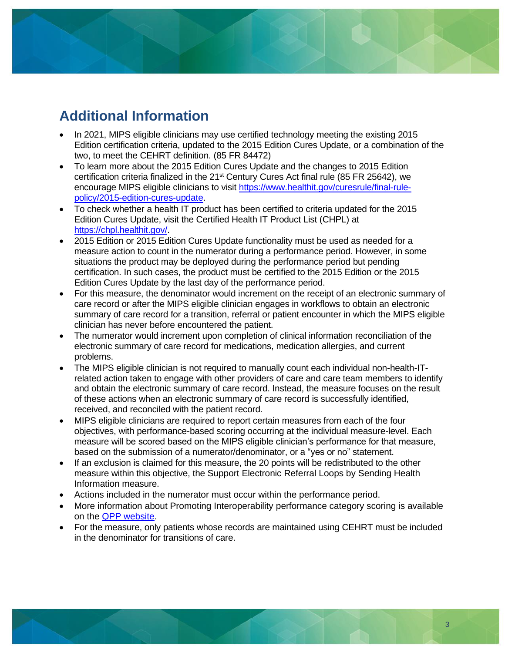# **Additional Information**

- In 2021, MIPS eligible clinicians may use certified technology meeting the existing 2015 Edition certification criteria, updated to the 2015 Edition Cures Update, or a combination of the two, to meet the CEHRT definition. (85 FR 84472)
- To learn more about the 2015 Edition Cures Update and the changes to 2015 Edition certification criteria finalized in the 21<sup>st</sup> Century Cures Act final rule (85 FR 25642), we encourage MIPS eligible clinicians to visit [https://www.healthit.gov/curesrule/final-rule](https://www.healthit.gov/curesrule/final-rule-policy/2015-edition-cures-update)[policy/2015-edition-cures-update.](https://www.healthit.gov/curesrule/final-rule-policy/2015-edition-cures-update)
- To check whether a health IT product has been certified to criteria updated for the 2015 Edition Cures Update, visit the Certified Health IT Product List (CHPL) at [https://chpl.healthit.gov/.](https://chpl.healthit.gov/)
- 2015 Edition or 2015 Edition Cures Update functionality must be used as needed for a measure action to count in the numerator during a performance period. However, in some situations the product may be deployed during the performance period but pending certification. In such cases, the product must be certified to the 2015 Edition or the 2015 Edition Cures Update by the last day of the performance period.
- For this measure, the denominator would increment on the receipt of an electronic summary of care record or after the MIPS eligible clinician engages in workflows to obtain an electronic summary of care record for a transition, referral or patient encounter in which the MIPS eligible clinician has never before encountered the patient.
- The numerator would increment upon completion of clinical information reconciliation of the electronic summary of care record for medications, medication allergies, and current problems.
- The MIPS eligible clinician is not required to manually count each individual non-health-ITrelated action taken to engage with other providers of care and care team members to identify and obtain the electronic summary of care record. Instead, the measure focuses on the result of these actions when an electronic summary of care record is successfully identified, received, and reconciled with the patient record.
- MIPS eligible clinicians are required to report certain measures from each of the four objectives, with performance-based scoring occurring at the individual measure-level. Each measure will be scored based on the MIPS eligible clinician's performance for that measure, based on the submission of a numerator/denominator, or a "yes or no" statement.
- If an exclusion is claimed for this measure, the 20 points will be redistributed to the other measure within this objective, the Support Electronic Referral Loops by Sending Health Information measure.
- Actions included in the numerator must occur within the performance period.
- More information about Promoting Interoperability performance category scoring is available on the [QPP website.](https://qpp.cms.gov/)
- For the measure, only patients whose records are maintained using CEHRT must be included in the denominator for transitions of care.